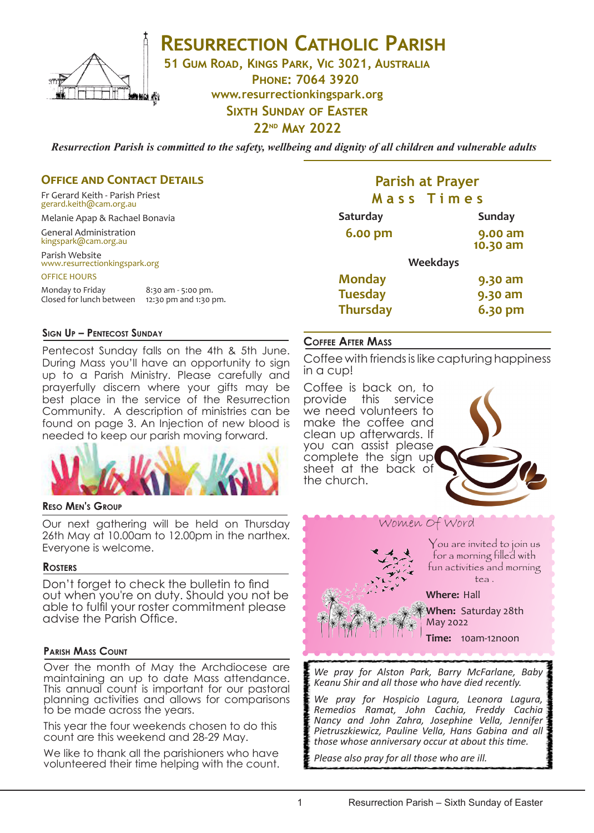

# **RESURRECTION CATHOLIC PARISH**

**51 Gum Road, Kings Park, Vic 3021, Australia**

**Phone: 7064 3920 www.resurrectionkingspark.org**

# **Sixth Sunday of Easter**

# **22nd May 2022**

*Resurrection Parish is committed to the safety, wellbeing and dignity of all children and vulnerable adults*

### **OFFICE AND CONTACT DETAILS**

Fr Gerard Keith - Parish Priest gerard.keith@cam.org.au

Melanie Apap & Rachael Bonavia

General Administration kingspark@cam.org.au

# Parish Website www.resurrectionkingspark.org

OFFICE HOURS

Monday to Friday 8:30 am - 5:00 pm. Closed for lunch between 12:30 pm and 1:30 pm.

#### **Sign Up – Pentecost Sunday**

Pentecost Sunday falls on the 4th & 5th June. During Mass you'll have an opportunity to sign up to a Parish Ministry. Please carefully and prayerfully discern where your gifts may be best place in the service of the Resurrection Community. A description of ministries can be found on page 3. An Injection of new blood is needed to keep our parish moving forward.



#### **Reso Men's Group**

Our next gathering will be held on Thursday 26th May at 10.00am to 12.00pm in the narthex. Everyone is welcome.

#### **Rosters**

Don't forget to check the bulletin to find out when you're on duty. Should you not be able to fulfil your roster commitment please advise the Parish Office.

#### **Parish Mass Count**

Over the month of May the Archdiocese are maintaining an up to date Mass attendance. This annual count is important for our pastoral planning activities and allows for comparisons to be made across the years.

This year the four weekends chosen to do this count are this weekend and 28-29 May.

We like to thank all the parishioners who have volunteered their time helping with the count.

# **Parish at Prayer M a s s T i m e s**

| <b>Saturday</b> |                 | <b>Sunday</b>       |
|-----------------|-----------------|---------------------|
| <b>6.00 pm</b>  |                 | 9.00 am<br>10.30 am |
|                 | <b>Weekdays</b> |                     |
| <b>Monday</b>   |                 | 9.30 am             |
| <b>Tuesday</b>  |                 | 9.30 am             |
| <b>Thursday</b> |                 | 6.30 pm             |

### **Coffee After Mass**

Coffee with friends is like capturing happiness in a cup!

Coffee is back on, to provide this service we need volunteers to make the coffee and clean up afterwards. If you can assist please complete the sign up sheet at the back of the church.







You are invited to join us for a morning filled with fun activities and morning tea .

**Where:** Hall

**When:** Saturday 28th May 2022

**Time:** 10am-12noon

*We pray for Alston Park, Barry McFarlane, Baby Keanu Shir and all those who have died recently.* 

*We pray for Hospicio Lagura, Leonora Lagura, Remedios Ramat, John Cachia, Freddy Cachia Nancy and John Zahra, Josephine Vella, Jennifer Pietruszkiewicz, Pauline Vella, Hans Gabina and all those whose anniversary occur at about this time.*

*Please also pray for all those who are ill.*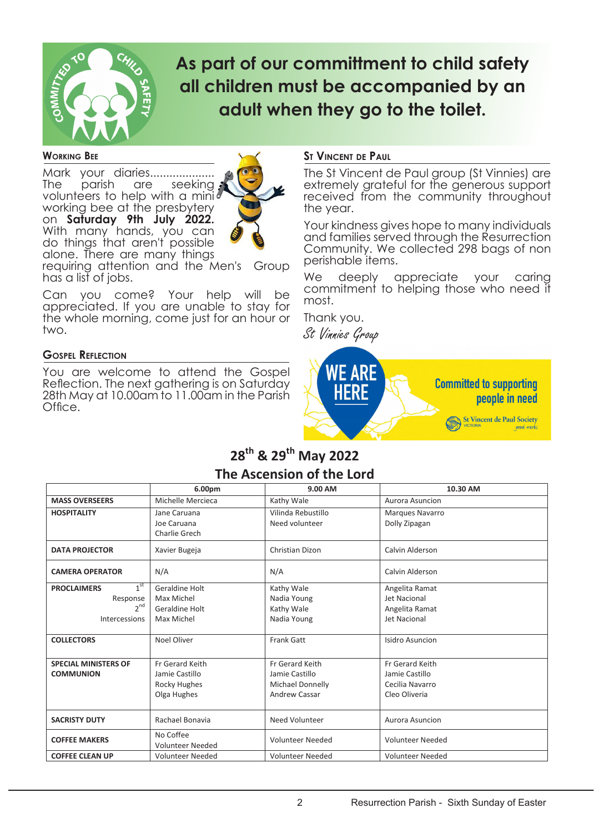

# **As part of our committment to child safety all children must be accompanied by an adult when they go to the toilet.**

#### **Working Bee**

Mark your diaries....................<br>The parish are seeking seeking a volunteers to help with a minid working bee at the presbytery on **Saturday 9th July 2022.** With many hands, you can do things that aren't possible alone. There are many things



requiring attention and the Men's Group has a list of jobs.

Can you come? Your help will be appreciated. If you are unable to stay for the whole morning, come just for an hour or two.

#### **Gospel Reflection**

You are welcome to attend the Gospel Reflection. The next gathering is on Saturday 28th May at 10.00am to 11.00am in the Parish Office.

#### **St Vincent de Paul**

The St Vincent de Paul group (St Vinnies) are extremely grateful for the generous support received from the community throughout the year.

Your kindness gives hope to many individuals and families served through the Resurrection Community. We collected 298 bags of non perishable items.

We deeply appreciate your caring commitment to helping those who need it most.

Thank you. St Vinnies Group



# **28th & 29th May 2022 The Ascension of the Lord**

|                                       | 6.00pm                               | 9.00 AM                 | 10.30 AM                |
|---------------------------------------|--------------------------------------|-------------------------|-------------------------|
| <b>MASS OVERSEERS</b>                 | Michelle Mercieca                    | Kathy Wale              | Aurora Asuncion         |
| <b>HOSPITALITY</b>                    | Jane Caruana                         | Vilinda Rebustillo      | Marques Navarro         |
|                                       | Joe Caruana                          | Need volunteer          | Dolly Zipagan           |
|                                       | Charlie Grech                        |                         |                         |
| <b>DATA PROJECTOR</b>                 | Xavier Bugeja                        | Christian Dizon         | Calvin Alderson         |
| <b>CAMERA OPERATOR</b>                | N/A                                  | N/A                     | Calvin Alderson         |
| 1 <sup>st</sup><br><b>PROCLAIMERS</b> | Geraldine Holt                       | Kathy Wale              | Angelita Ramat          |
| Response                              | Max Michel                           | Nadia Young             | Jet Nacional            |
| $2^{nd}$                              | Geraldine Holt                       | Kathy Wale              | Angelita Ramat          |
| Intercessions                         | Max Michel                           | Nadia Young             | Jet Nacional            |
|                                       |                                      |                         |                         |
| <b>COLLECTORS</b>                     | Noel Oliver                          | <b>Frank Gatt</b>       | Isidro Asuncion         |
|                                       |                                      |                         |                         |
| <b>SPECIAL MINISTERS OF</b>           | Fr Gerard Keith                      | Fr Gerard Keith         | Fr Gerard Keith         |
| <b>COMMUNION</b>                      | Jamie Castillo                       | Jamie Castillo          | Jamie Castillo          |
|                                       | Rocky Hughes                         | <b>Michael Donnelly</b> | Cecilia Navarro         |
|                                       | Olga Hughes                          | <b>Andrew Cassar</b>    | Cleo Oliveria           |
|                                       |                                      |                         |                         |
| <b>SACRISTY DUTY</b>                  | Rachael Bonavia                      | Need Volunteer          | Aurora Asuncion         |
| <b>COFFEE MAKERS</b>                  | No Coffee<br><b>Volunteer Needed</b> | <b>Volunteer Needed</b> | <b>Volunteer Needed</b> |
| <b>COFFEE CLEAN UP</b>                | <b>Volunteer Needed</b>              | <b>Volunteer Needed</b> | <b>Volunteer Needed</b> |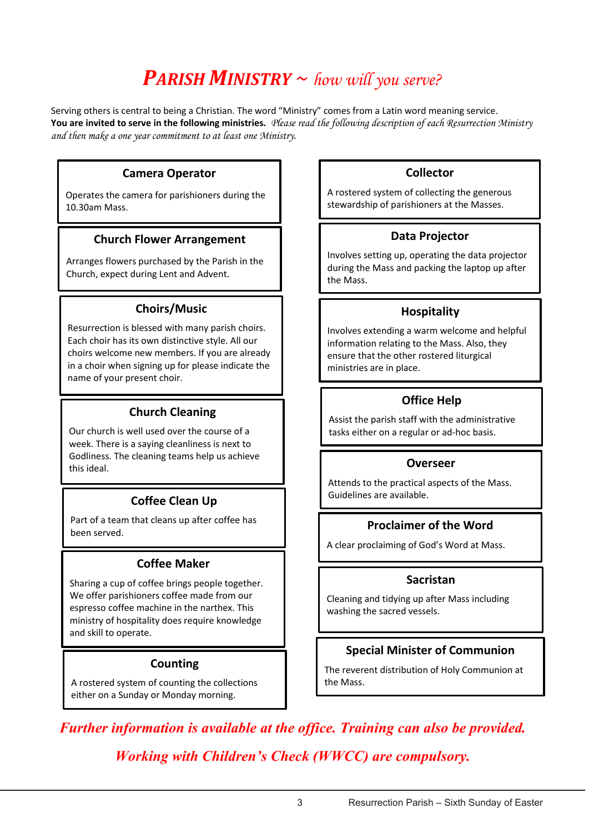# *PARISH MINISTRY ~ how will you serve?*

Serving others is central to being a Christian. The word "Ministry" comes from a Latin word meaning service. **You are invited to serve in the following ministries.** *Please read the following description of each Resurrection Ministry and then make a one year commitment to at least one Ministry.*

# **Camera Operator**

Operates the camera for parishioners during the 10.30am Mass.

# **Church Flower Arrangement**

Arranges flowers purchased by the Parish in the Church, expect during Lent and Advent.

# **Choirs/Music**

Resurrection is blessed with many parish choirs. Each choir has its own distinctive style. All our choirs welcome new members. If you are already in a choir when signing up for please indicate the name of your present choir.

# **Church Cleaning**

Our church is well used over the course of a week. There is a saying cleanliness is next to Godliness. The cleaning teams help us achieve this ideal.

# **Coffee Clean Up**

Part of a team that cleans up after coffee has been served.

# **Coffee Maker**

Sharing a cup of coffee brings people together. We offer parishioners coffee made from our espresso coffee machine in the narthex. This ministry of hospitality does require knowledge and skill to operate.

# **Counting**

A rostered system of counting the collections either on a Sunday or Monday morning.

# **Collector**

A rostered system of collecting the generous stewardship of parishioners at the Masses.

# **Data Projector**

Involves setting up, operating the data projector during the Mass and packing the laptop up after the Mass.

# **Hospitality**

Involves extending a warm welcome and helpful information relating to the Mass. Also, they ensure that the other rostered liturgical ministries are in place.

# **Office Help**

Assist the parish staff with the administrative tasks either on a regular or ad-hoc basis.

# **Overseer**

Attends to the practical aspects of the Mass. Guidelines are available.

# **Proclaimer of the Word**

A clear proclaiming of God's Word at Mass.

# **Sacristan**

Cleaning and tidying up after Mass including washing the sacred vessels.

# **Special Minister of Communion**

The reverent distribution of Holy Communion at the Mass.

*Further information is available at the office. Training can also be provided. Working with Children's Check (WWCC) are compulsory.*